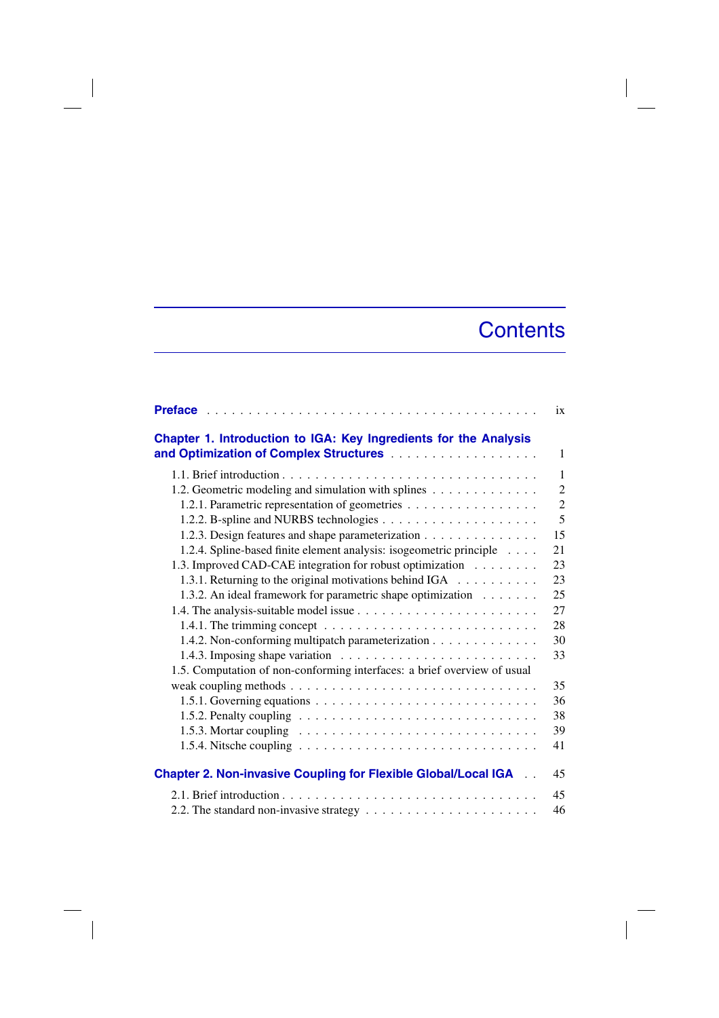## **Contents**

 $\overline{\phantom{a}}$ 

|                                                                                                 | ix             |
|-------------------------------------------------------------------------------------------------|----------------|
| Chapter 1. Introduction to IGA: Key Ingredients for the Analysis                                |                |
|                                                                                                 | 1              |
|                                                                                                 | $\mathbf{1}$   |
| 1.2. Geometric modeling and simulation with splines                                             | $\overline{2}$ |
| 1.2.1. Parametric representation of geometries                                                  | $\overline{2}$ |
|                                                                                                 | 5              |
| 1.2.3. Design features and shape parameterization                                               | 15             |
| 1.2.4. Spline-based finite element analysis: isogeometric principle                             | 21             |
| 1.3. Improved CAD-CAE integration for robust optimization                                       | 23             |
| 1.3.1. Returning to the original motivations behind IGA                                         | 23             |
| 1.3.2. An ideal framework for parametric shape optimization                                     | 25             |
|                                                                                                 | 27             |
| 1.4.1. The trimming concept $\ldots \ldots \ldots \ldots \ldots \ldots \ldots \ldots \ldots$    | 28             |
| 1.4.2. Non-conforming multipatch parameterization                                               | 30             |
|                                                                                                 | 33             |
| 1.5. Computation of non-conforming interfaces: a brief overview of usual                        |                |
|                                                                                                 | 35             |
|                                                                                                 | 36             |
| 1.5.2. Penalty coupling $\ldots \ldots \ldots \ldots \ldots \ldots \ldots \ldots \ldots$        | 38             |
| 1.5.3. Mortar coupling $\ldots \ldots \ldots \ldots \ldots \ldots \ldots \ldots \ldots$         | 39             |
| 1.5.4. Nitsche coupling $\ldots \ldots \ldots \ldots \ldots \ldots \ldots \ldots \ldots \ldots$ | 41             |
| <b>Chapter 2. Non-invasive Coupling for Flexible Global/Local IGA </b>                          | 45             |
|                                                                                                 | 45             |
|                                                                                                 | 46             |

 $\overline{\phantom{a}}$ 

 $\overline{\phantom{a}}$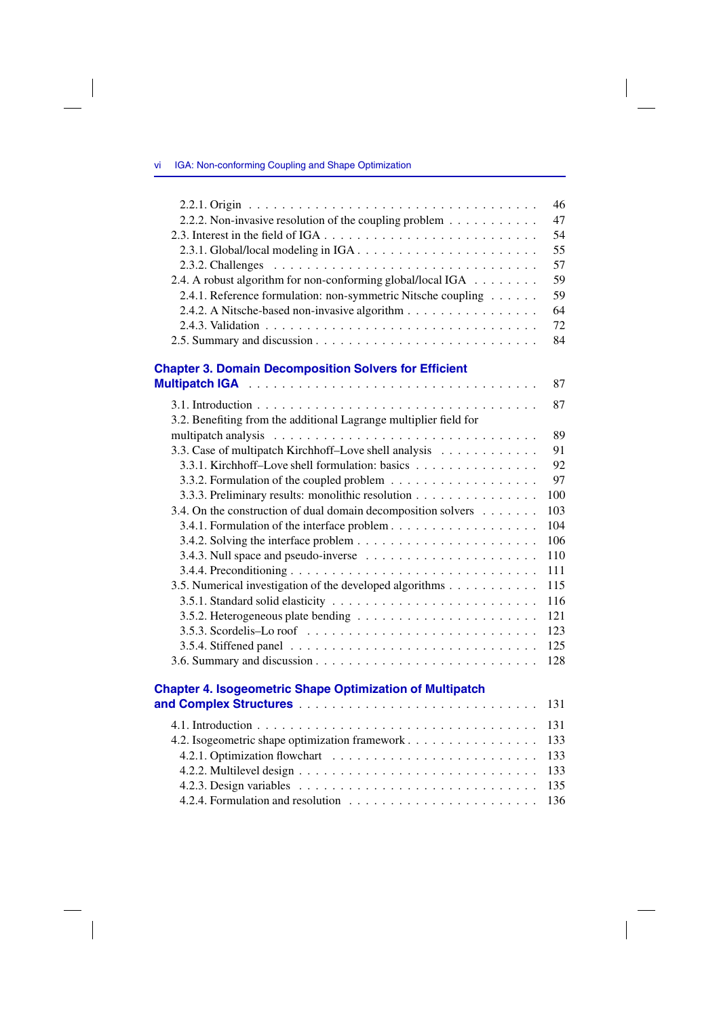$\overline{\phantom{a}}$ 

 $\overline{\phantom{a}}$ 

|                                                                                           | 46  |
|-------------------------------------------------------------------------------------------|-----|
| 2.2.2. Non-invasive resolution of the coupling problem                                    | 47  |
|                                                                                           | 54  |
|                                                                                           | 55  |
|                                                                                           | 57  |
| 2.4. A robust algorithm for non-conforming global/local IGA                               | 59  |
| 2.4.1. Reference formulation: non-symmetric Nitsche coupling                              | 59  |
| 2.4.2. A Nitsche-based non-invasive algorithm                                             | 64  |
|                                                                                           | 72  |
|                                                                                           | 84  |
| <b>Chapter 3. Domain Decomposition Solvers for Efficient</b>                              |     |
|                                                                                           | 87  |
|                                                                                           | 87  |
| 3.2. Benefiting from the additional Lagrange multiplier field for                         |     |
|                                                                                           | 89  |
| 3.3. Case of multipatch Kirchhoff-Love shell analysis                                     | 91  |
| 3.3.1. Kirchhoff-Love shell formulation: basics                                           | 92  |
|                                                                                           | 97  |
| 3.3.3. Preliminary results: monolithic resolution                                         | 100 |
| 3.4. On the construction of dual domain decomposition solvers                             | 103 |
|                                                                                           | 104 |
|                                                                                           | 106 |
|                                                                                           | 110 |
|                                                                                           | 111 |
| 3.5. Numerical investigation of the developed algorithms                                  | 115 |
|                                                                                           | 116 |
|                                                                                           | 121 |
| 3.5.3. Scordelis-Lo roof $\ldots \ldots \ldots \ldots \ldots \ldots \ldots \ldots \ldots$ | 123 |
|                                                                                           | 125 |
|                                                                                           | 128 |
| <b>Chapter 4. Isogeometric Shape Optimization of Multipatch</b>                           |     |
|                                                                                           | 131 |
|                                                                                           | 131 |
| 4.2. Isogeometric shape optimization framework                                            | 133 |
|                                                                                           | 133 |
|                                                                                           | 133 |
|                                                                                           | 135 |
|                                                                                           | 136 |

 $\overline{\phantom{a}}$